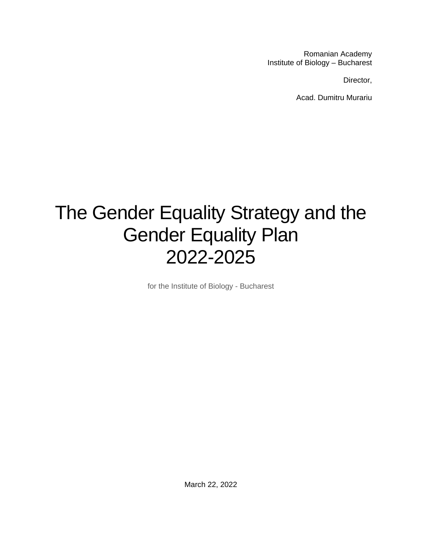Romanian Academy Institute of Biology – Bucharest

Director,

Acad. Dumitru Murariu

# The Gender Equality Strategy and the Gender Equality Plan 2022-2025

for the Institute of Biology - Bucharest

March 22, 2022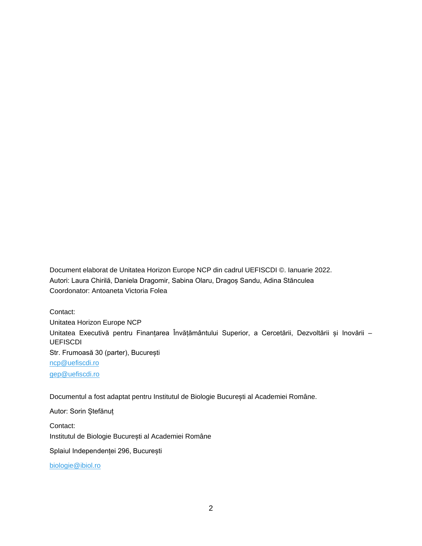Document elaborat de Unitatea Horizon Europe NCP din cadrul UEFISCDI ©. Ianuarie 2022. Autori: Laura Chirilă, Daniela Dragomir, Sabina Olaru, Dragoș Sandu, Adina Stănculea Coordonator: Antoaneta Victoria Folea

Contact: Unitatea Horizon Europe NCP Unitatea Executivă pentru Finanțarea Învățământului Superior, a Cercetării, Dezvoltării și Inovării – UEFISCDI Str. Frumoasă 30 (parter), București [ncp@uefiscdi.ro](mailto:ncp@uefiscdi.ro) [gep@uefiscdi.ro](mailto:gep@uefiscdi.ro)

Documentul a fost adaptat pentru Institutul de Biologie București al Academiei Române.

Autor: Sorin Ștefănuț Contact: Institutul de Biologie București al Academiei Române Splaiul Independenței 296, București

[biologie@ibiol.ro](mailto:biologie@ibiol.ro)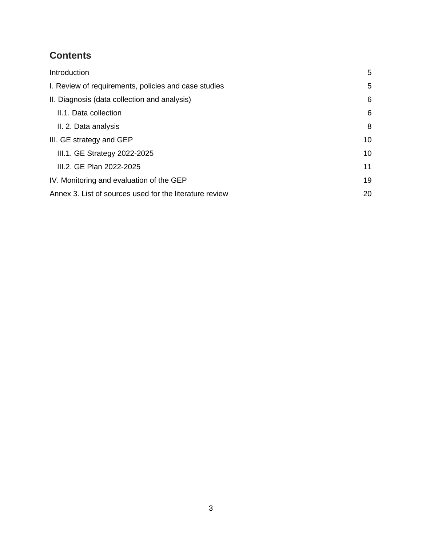# **Contents**

| Introduction                                            | 5  |
|---------------------------------------------------------|----|
| I. Review of requirements, policies and case studies    | 5  |
| II. Diagnosis (data collection and analysis)            | 6  |
| II.1. Data collection                                   | 6  |
| II. 2. Data analysis                                    | 8  |
| III. GE strategy and GEP                                | 10 |
| III.1. GE Strategy 2022-2025                            | 10 |
| III.2. GE Plan 2022-2025                                | 11 |
| IV. Monitoring and evaluation of the GEP                | 19 |
| Annex 3. List of sources used for the literature review | 20 |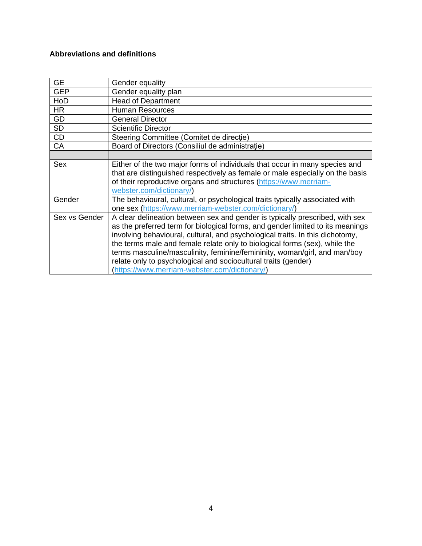### **Abbreviations and definitions**

| <b>GE</b>     | Gender equality                                                                                                                                                                                                                                                                                                                                                                                                                                                                                                               |
|---------------|-------------------------------------------------------------------------------------------------------------------------------------------------------------------------------------------------------------------------------------------------------------------------------------------------------------------------------------------------------------------------------------------------------------------------------------------------------------------------------------------------------------------------------|
| <b>GEP</b>    | Gender equality plan                                                                                                                                                                                                                                                                                                                                                                                                                                                                                                          |
| HoD           | <b>Head of Department</b>                                                                                                                                                                                                                                                                                                                                                                                                                                                                                                     |
| <b>HR</b>     | <b>Human Resources</b>                                                                                                                                                                                                                                                                                                                                                                                                                                                                                                        |
| GD            | <b>General Director</b>                                                                                                                                                                                                                                                                                                                                                                                                                                                                                                       |
| <b>SD</b>     | <b>Scientific Director</b>                                                                                                                                                                                                                                                                                                                                                                                                                                                                                                    |
| CD            | Steering Committee (Comitet de directie)                                                                                                                                                                                                                                                                                                                                                                                                                                                                                      |
| CA            | Board of Directors (Consiliul de administrație)                                                                                                                                                                                                                                                                                                                                                                                                                                                                               |
|               |                                                                                                                                                                                                                                                                                                                                                                                                                                                                                                                               |
| <b>Sex</b>    | Either of the two major forms of individuals that occur in many species and<br>that are distinguished respectively as female or male especially on the basis<br>of their reproductive organs and structures (https://www.merriam-<br>webster.com/dictionary/)                                                                                                                                                                                                                                                                 |
| Gender        | The behavioural, cultural, or psychological traits typically associated with<br>one sex (https://www.merriam-webster.com/dictionary/)                                                                                                                                                                                                                                                                                                                                                                                         |
| Sex vs Gender | A clear delineation between sex and gender is typically prescribed, with sex<br>as the preferred term for biological forms, and gender limited to its meanings<br>involving behavioural, cultural, and psychological traits. In this dichotomy,<br>the terms male and female relate only to biological forms (sex), while the<br>terms masculine/masculinity, feminine/femininity, woman/girl, and man/boy<br>relate only to psychological and sociocultural traits (gender)<br>(https://www.merriam-webster.com/dictionary/) |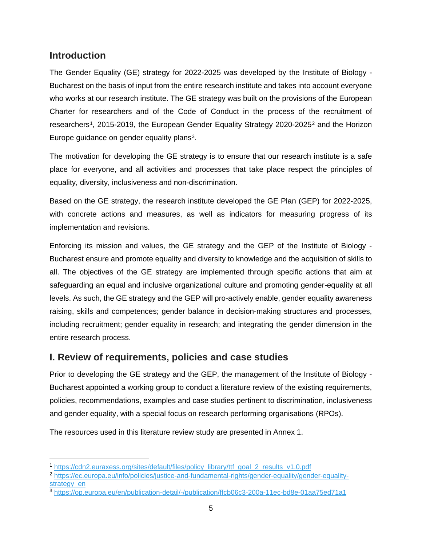# <span id="page-4-0"></span>**Introduction**

The Gender Equality (GE) strategy for 2022-2025 was developed by the Institute of Biology - Bucharest on the basis of input from the entire research institute and takes into account everyone who works at our research institute. The GE strategy was built on the provisions of the European Charter for researchers and of the Code of Conduct in the process of the recruitment of researchers<sup>[1](#page-4-2)</sup>, [2](#page-4-3)015-2019, the European Gender Equality Strategy 2020-2025<sup>2</sup> and the Horizon Europe guidance on gender equality plans<sup>3</sup>.

The motivation for developing the GE strategy is to ensure that our research institute is a safe place for everyone, and all activities and processes that take place respect the principles of equality, diversity, inclusiveness and non-discrimination.

Based on the GE strategy, the research institute developed the GE Plan (GEP) for 2022-2025, with concrete actions and measures, as well as indicators for measuring progress of its implementation and revisions.

Enforcing its mission and values, the GE strategy and the GEP of the Institute of Biology - Bucharest ensure and promote equality and diversity to knowledge and the acquisition of skills to all. The objectives of the GE strategy are implemented through specific actions that aim at safeguarding an equal and inclusive organizational culture and promoting gender-equality at all levels. As such, the GE strategy and the GEP will pro-actively enable, gender equality awareness raising, skills and competences; gender balance in decision-making structures and processes, including recruitment; gender equality in research; and integrating the gender dimension in the entire research process.

## <span id="page-4-1"></span>**I. Review of requirements, policies and case studies**

Prior to developing the GE strategy and the GEP, the management of the Institute of Biology - Bucharest appointed a working group to conduct a literature review of the existing requirements, policies, recommendations, examples and case studies pertinent to discrimination, inclusiveness and gender equality, with a special focus on research performing organisations (RPOs).

The resources used in this literature review study are presented in Annex 1.

<span id="page-4-2"></span> <sup>1</sup> [https://cdn2.euraxess.org/sites/default/files/policy\\_library/ttf\\_goal\\_2\\_results\\_v1.0.pdf](https://cdn2.euraxess.org/sites/default/files/policy_library/ttf_goal_2_results_v1.0.pdf)

<span id="page-4-3"></span><sup>2</sup> [https://ec.europa.eu/info/policies/justice-and-fundamental-rights/gender-equality/gender-equality](https://ec.europa.eu/info/policies/justice-and-fundamental-rights/gender-equality/gender-equality-strategy_en)[strategy\\_en](https://ec.europa.eu/info/policies/justice-and-fundamental-rights/gender-equality/gender-equality-strategy_en)

<span id="page-4-4"></span><sup>3</sup> <https://op.europa.eu/en/publication-detail/-/publication/ffcb06c3-200a-11ec-bd8e-01aa75ed71a1>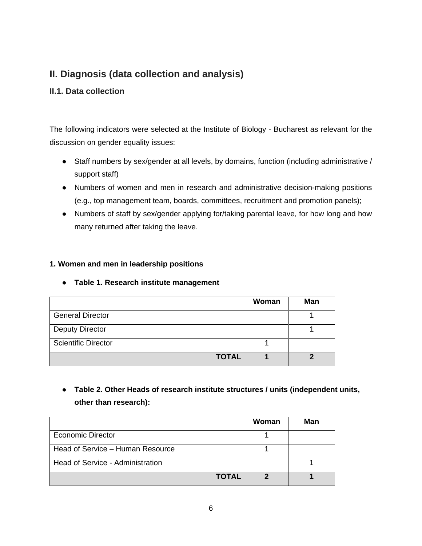# <span id="page-5-0"></span>**II. Diagnosis (data collection and analysis)**

## <span id="page-5-1"></span>**II.1. Data collection**

The following indicators were selected at the Institute of Biology - Bucharest as relevant for the discussion on gender equality issues:

- Staff numbers by sex/gender at all levels, by domains, function (including administrative / support staff)
- Numbers of women and men in research and administrative decision-making positions (e.g., top management team, boards, committees, recruitment and promotion panels);
- Numbers of staff by sex/gender applying for/taking parental leave, for how long and how many returned after taking the leave.

#### **1. Women and men in leadership positions**

#### ● **Table 1. Research institute management**

|                            | Woman | Man |
|----------------------------|-------|-----|
| <b>General Director</b>    |       |     |
| <b>Deputy Director</b>     |       |     |
| <b>Scientific Director</b> |       |     |
| <b>TOTAL</b>               |       |     |

● **Table 2. Other Heads of research institute structures / units (independent units, other than research):**

|                                  | Woman | Man |
|----------------------------------|-------|-----|
| <b>Economic Director</b>         |       |     |
| Head of Service - Human Resource |       |     |
| Head of Service - Administration |       |     |
| <b>TOTAL</b>                     |       |     |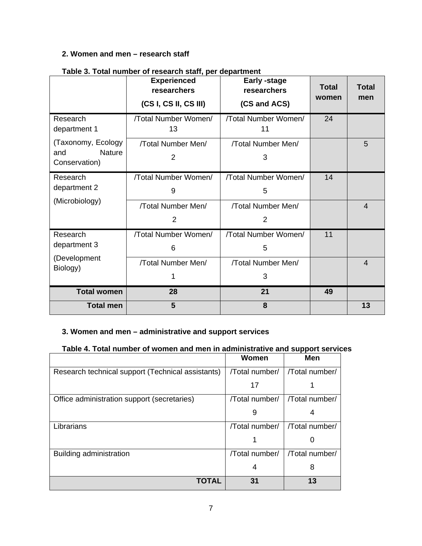#### **2. Women and men – research staff**

|                                                             | <b>Experienced</b><br><b>Early -stage</b><br>researchers<br>researchers<br>(CS I, CS II, CS III)<br>(CS and ACS) |                            | <b>Total</b><br>women | <b>Total</b><br>men |
|-------------------------------------------------------------|------------------------------------------------------------------------------------------------------------------|----------------------------|-----------------------|---------------------|
| Research<br>department 1                                    | /Total Number Women/<br>13                                                                                       | /Total Number Women/<br>11 | 24                    |                     |
| (Taxonomy, Ecology<br><b>Nature</b><br>and<br>Conservation) | /Total Number Men/<br>$\overline{2}$                                                                             | /Total Number Men/<br>3    |                       | 5                   |
| Research<br>department 2                                    | /Total Number Women/<br>9                                                                                        | /Total Number Women/<br>5  | 14                    |                     |
| (Microbiology)                                              | /Total Number Men/<br>$\overline{2}$                                                                             | /Total Number Men/<br>2    |                       | $\overline{4}$      |
| Research<br>department 3                                    | /Total Number Women/<br>6                                                                                        | /Total Number Women/<br>5  | 11                    |                     |
| (Development<br>Biology)                                    | /Total Number Men/<br>1                                                                                          | /Total Number Men/<br>3    |                       | $\overline{4}$      |
| <b>Total women</b>                                          | 28                                                                                                               | 21                         | 49                    |                     |
| <b>Total men</b>                                            | 5                                                                                                                | 8                          |                       | 13                  |

#### **Table 3. Total number of research staff, per department**

## **3. Women and men – administrative and support services**

#### **Table 4. Total number of women and men in administrative and support services**

|                                                   | Women          | Men            |
|---------------------------------------------------|----------------|----------------|
| Research technical support (Technical assistants) | /Total number/ | /Total number/ |
|                                                   | 17             |                |
| Office administration support (secretaries)       | /Total number/ | /Total number/ |
|                                                   | 9              | 4              |
| Librarians                                        | /Total number/ | /Total number/ |
|                                                   |                |                |
| Building administration                           | /Total number/ | /Total number/ |
|                                                   | 4              | 8              |
| TOTAL                                             | 31             | 13             |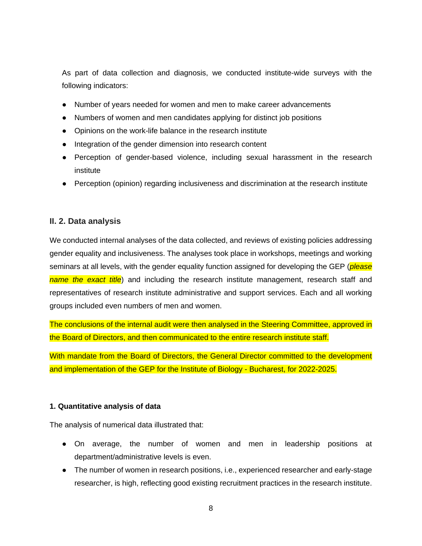As part of data collection and diagnosis, we conducted institute-wide surveys with the following indicators:

- Number of years needed for women and men to make career advancements
- Numbers of women and men candidates applying for distinct job positions
- Opinions on the work-life balance in the research institute
- Integration of the gender dimension into research content
- Perception of gender-based violence, including sexual harassment in the research institute
- Perception (opinion) regarding inclusiveness and discrimination at the research institute

#### <span id="page-7-0"></span>**II. 2. Data analysis**

We conducted internal analyses of the data collected, and reviews of existing policies addressing gender equality and inclusiveness. The analyses took place in workshops, meetings and working seminars at all levels, with the gender equality function assigned for developing the GEP (*please name the exact title*) and including the research institute management, research staff and representatives of research institute administrative and support services. Each and all working groups included even numbers of men and women.

The conclusions of the internal audit were then analysed in the Steering Committee, approved in the Board of Directors, and then communicated to the entire research institute staff.

With mandate from the Board of Directors, the General Director committed to the development and implementation of the GEP for the Institute of Biology - Bucharest, for 2022-2025.

#### **1. Quantitative analysis of data**

The analysis of numerical data illustrated that:

- On average, the number of women and men in leadership positions at department/administrative levels is even.
- The number of women in research positions, i.e., experienced researcher and early-stage researcher, is high, reflecting good existing recruitment practices in the research institute.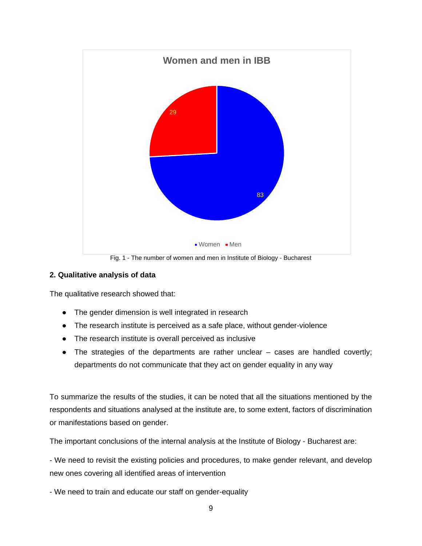

Fig. 1 - The number of women and men in Institute of Biology - Bucharest

#### **2. Qualitative analysis of data**

The qualitative research showed that:

- The gender dimension is well integrated in research
- The research institute is perceived as a safe place, without gender-violence
- The research institute is overall perceived as inclusive
- The strategies of the departments are rather unclear cases are handled covertly; departments do not communicate that they act on gender equality in any way

To summarize the results of the studies, it can be noted that all the situations mentioned by the respondents and situations analysed at the institute are, to some extent, factors of discrimination or manifestations based on gender.

The important conclusions of the internal analysis at the Institute of Biology - Bucharest are:

- We need to revisit the existing policies and procedures, to make gender relevant, and develop new ones covering all identified areas of intervention

- We need to train and educate our staff on gender-equality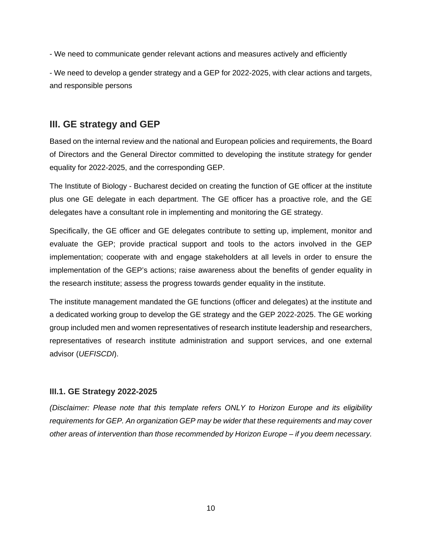- We need to communicate gender relevant actions and measures actively and efficiently

- We need to develop a gender strategy and a GEP for 2022-2025, with clear actions and targets, and responsible persons

# <span id="page-9-0"></span>**III. GE strategy and GEP**

Based on the internal review and the national and European policies and requirements, the Board of Directors and the General Director committed to developing the institute strategy for gender equality for 2022-2025, and the corresponding GEP.

The Institute of Biology - Bucharest decided on creating the function of GE officer at the institute plus one GE delegate in each department. The GE officer has a proactive role, and the GE delegates have a consultant role in implementing and monitoring the GE strategy.

Specifically, the GE officer and GE delegates contribute to setting up, implement, monitor and evaluate the GEP; provide practical support and tools to the actors involved in the GEP implementation; cooperate with and engage stakeholders at all levels in order to ensure the implementation of the GEP's actions; raise awareness about the benefits of gender equality in the research institute; assess the progress towards gender equality in the institute.

The institute management mandated the GE functions (officer and delegates) at the institute and a dedicated working group to develop the GE strategy and the GEP 2022-2025. The GE working group included men and women representatives of research institute leadership and researchers, representatives of research institute administration and support services, and one external advisor (*UEFISCDI*).

#### <span id="page-9-1"></span>**III.1. GE Strategy 2022-2025**

*(Disclaimer: Please note that this template refers ONLY to Horizon Europe and its eligibility requirements for GEP. An organization GEP may be wider that these requirements and may cover other areas of intervention than those recommended by Horizon Europe – if you deem necessary.*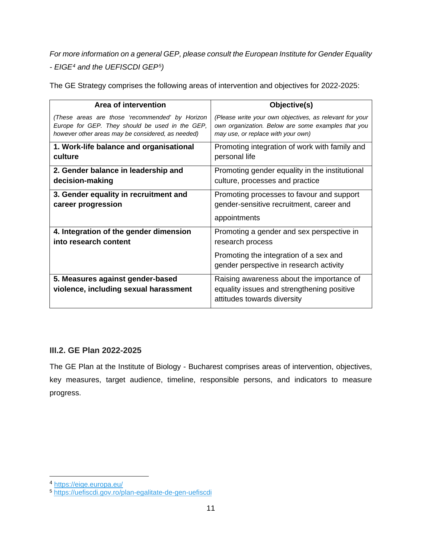*For more information on a general GEP, please consult the European Institute for Gender Equality - EIGE[4](#page-10-1) and the UEFISCDI GEP[5](#page-10-2))*

| Area of intervention                                                                                                                                    | Objective(s)                                                                                                                                        |
|---------------------------------------------------------------------------------------------------------------------------------------------------------|-----------------------------------------------------------------------------------------------------------------------------------------------------|
| (These areas are those 'recommended' by Horizon<br>Europe for GEP. They should be used in the GEP,<br>however other areas may be considered, as needed) | (Please write your own objectives, as relevant for your<br>own organization. Below are some examples that you<br>may use, or replace with your own) |
| 1. Work-life balance and organisational                                                                                                                 | Promoting integration of work with family and                                                                                                       |
| culture                                                                                                                                                 | personal life                                                                                                                                       |
| 2. Gender balance in leadership and                                                                                                                     | Promoting gender equality in the institutional                                                                                                      |
| decision-making                                                                                                                                         | culture, processes and practice                                                                                                                     |
| 3. Gender equality in recruitment and                                                                                                                   | Promoting processes to favour and support                                                                                                           |
| career progression                                                                                                                                      | gender-sensitive recruitment, career and                                                                                                            |
|                                                                                                                                                         | appointments                                                                                                                                        |
| 4. Integration of the gender dimension                                                                                                                  | Promoting a gender and sex perspective in                                                                                                           |
| into research content                                                                                                                                   | research process                                                                                                                                    |
|                                                                                                                                                         | Promoting the integration of a sex and                                                                                                              |
|                                                                                                                                                         | gender perspective in research activity                                                                                                             |
| 5. Measures against gender-based                                                                                                                        | Raising awareness about the importance of                                                                                                           |
| violence, including sexual harassment                                                                                                                   | equality issues and strengthening positive                                                                                                          |
|                                                                                                                                                         | attitudes towards diversity                                                                                                                         |

The GE Strategy comprises the following areas of intervention and objectives for 2022-2025:

## <span id="page-10-0"></span>**III.2. GE Plan 2022-2025**

The GE Plan at the Institute of Biology - Bucharest comprises areas of intervention, objectives, key measures, target audience, timeline, responsible persons, and indicators to measure progress.

<span id="page-10-1"></span><sup>4</sup> <https://eige.europa.eu/>

<span id="page-10-2"></span><sup>5</sup> <https://uefiscdi.gov.ro/plan-egalitate-de-gen-uefiscdi>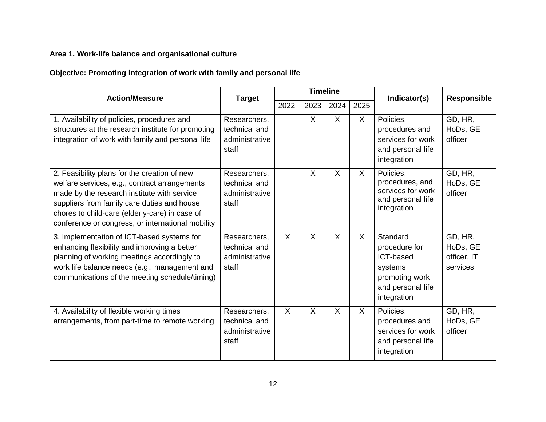## **Area 1. Work-life balance and organisational culture**

# **Objective: Promoting integration of work with family and personal life**

| <b>Action/Measure</b>                                                                                                                                                                                                                                                                              | <b>Target</b>                                            | <b>Timeline</b> |      |              |         | Indicator(s)                                                                                            | <b>Responsible</b>                             |
|----------------------------------------------------------------------------------------------------------------------------------------------------------------------------------------------------------------------------------------------------------------------------------------------------|----------------------------------------------------------|-----------------|------|--------------|---------|---------------------------------------------------------------------------------------------------------|------------------------------------------------|
|                                                                                                                                                                                                                                                                                                    |                                                          | 2022            | 2023 | 2024         | 2025    |                                                                                                         |                                                |
| 1. Availability of policies, procedures and<br>structures at the research institute for promoting<br>integration of work with family and personal life                                                                                                                                             | Researchers,<br>technical and<br>administrative<br>staff |                 | X    | X            | $\sf X$ | Policies,<br>procedures and<br>services for work<br>and personal life<br>integration                    | GD, HR,<br>HoDs, GE<br>officer                 |
| 2. Feasibility plans for the creation of new<br>welfare services, e.g., contract arrangements<br>made by the research institute with service<br>suppliers from family care duties and house<br>chores to child-care (elderly-care) in case of<br>conference or congress, or international mobility | Researchers,<br>technical and<br>administrative<br>staff |                 | X    | X            | $\sf X$ | Policies,<br>procedures, and<br>services for work<br>and personal life<br>integration                   | GD, HR,<br>HoDs, GE<br>officer                 |
| 3. Implementation of ICT-based systems for<br>enhancing flexibility and improving a better<br>planning of working meetings accordingly to<br>work life balance needs (e.g., management and<br>communications of the meeting schedule/timing)                                                       | Researchers,<br>technical and<br>administrative<br>staff | $\mathsf{X}$    | X    | $\mathsf{X}$ | $\sf X$ | Standard<br>procedure for<br>ICT-based<br>systems<br>promoting work<br>and personal life<br>integration | GD, HR,<br>HoDs, GE<br>officer, IT<br>services |
| 4. Availability of flexible working times<br>arrangements, from part-time to remote working                                                                                                                                                                                                        | Researchers,<br>technical and<br>administrative<br>staff | X               | X    | X            | X       | Policies,<br>procedures and<br>services for work<br>and personal life<br>integration                    | GD, HR,<br>HoDs, GE<br>officer                 |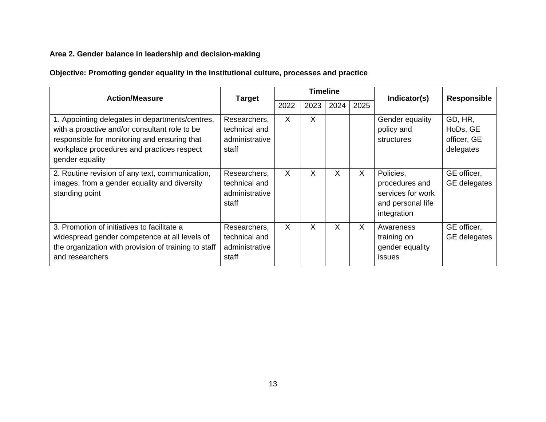## **Area 2. Gender balance in leadership and decision-making**

## **Objective: Promoting gender equality in the institutional culture, processes and practice**

|                                                                                                                                                                                                                   | <b>Timeline</b><br><b>Action/Measure</b><br><b>Target</b> |      |              |      | Indicator(s) | <b>Responsible</b>                                                                   |                                                 |
|-------------------------------------------------------------------------------------------------------------------------------------------------------------------------------------------------------------------|-----------------------------------------------------------|------|--------------|------|--------------|--------------------------------------------------------------------------------------|-------------------------------------------------|
|                                                                                                                                                                                                                   |                                                           | 2022 | 2023         | 2024 | 2025         |                                                                                      |                                                 |
| 1. Appointing delegates in departments/centres,<br>with a proactive and/or consultant role to be<br>responsible for monitoring and ensuring that<br>workplace procedures and practices respect<br>gender equality | Researchers,<br>technical and<br>administrative<br>staff  | X    | $\mathsf{X}$ |      |              | Gender equality<br>policy and<br>structures                                          | GD, HR,<br>HoDs, GE<br>officer, GE<br>delegates |
| 2. Routine revision of any text, communication,<br>images, from a gender equality and diversity<br>standing point                                                                                                 | Researchers,<br>technical and<br>administrative<br>staff  | X    | X.           | X    | X            | Policies,<br>procedures and<br>services for work<br>and personal life<br>integration | GE officer,<br>GE delegates                     |
| 3. Promotion of initiatives to facilitate a<br>widespread gender competence at all levels of<br>the organization with provision of training to staff<br>and researchers                                           | Researchers,<br>technical and<br>administrative<br>staff  | X    | X            | X    | X            | Awareness<br>training on<br>gender equality<br>issues                                | GE officer,<br><b>GE</b> delegates              |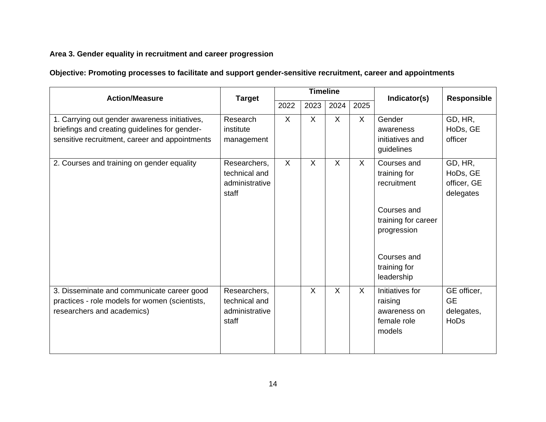# **Area 3. Gender equality in recruitment and career progression**

|  |  |  | Objective: Promoting processes to facilitate and support gender-sensitive recruitment, career and appointments |
|--|--|--|----------------------------------------------------------------------------------------------------------------|
|  |  |  |                                                                                                                |

| <b>Action/Measure</b>                                                                                                                            | <b>Timeline</b><br><b>Target</b>                         |      |      |      |      | Indicator(s)                                                        | <b>Responsible</b>                              |
|--------------------------------------------------------------------------------------------------------------------------------------------------|----------------------------------------------------------|------|------|------|------|---------------------------------------------------------------------|-------------------------------------------------|
|                                                                                                                                                  |                                                          | 2022 | 2023 | 2024 | 2025 |                                                                     |                                                 |
| 1. Carrying out gender awareness initiatives,<br>briefings and creating guidelines for gender-<br>sensitive recruitment, career and appointments | Research<br>institute<br>management                      | X    | X    | X    | X    | Gender<br>awareness<br>initiatives and<br>guidelines                | GD, HR,<br>HoDs, GE<br>officer                  |
| 2. Courses and training on gender equality                                                                                                       | Researchers,<br>technical and<br>administrative<br>staff | X    | X    | X    | X    | Courses and<br>training for<br>recruitment                          | GD, HR,<br>HoDs, GE<br>officer, GE<br>delegates |
|                                                                                                                                                  |                                                          |      |      |      |      | Courses and<br>training for career<br>progression                   |                                                 |
|                                                                                                                                                  |                                                          |      |      |      |      | Courses and<br>training for<br>leadership                           |                                                 |
| 3. Disseminate and communicate career good<br>practices - role models for women (scientists,<br>researchers and academics)                       | Researchers,<br>technical and<br>administrative<br>staff |      | X    | X    | X    | Initiatives for<br>raising<br>awareness on<br>female role<br>models | GE officer,<br><b>GE</b><br>delegates,<br>HoDs  |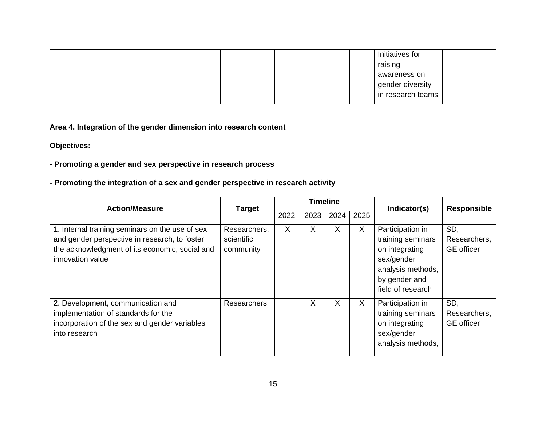| raising           |  |
|-------------------|--|
|                   |  |
| awareness on      |  |
| gender diversity  |  |
| in research teams |  |

**Area 4. Integration of the gender dimension into research content**

**Objectives:** 

- **- Promoting a gender and sex perspective in research process**
- **- Promoting the integration of a sex and gender perspective in research activity**

| <b>Action/Measure</b>                                                                                                                                                  | <b>Target</b>                           |      | <b>Timeline</b> |      |         | Indicator(s)                                                                                                                     | <b>Responsible</b>                       |
|------------------------------------------------------------------------------------------------------------------------------------------------------------------------|-----------------------------------------|------|-----------------|------|---------|----------------------------------------------------------------------------------------------------------------------------------|------------------------------------------|
|                                                                                                                                                                        |                                         | 2022 | 2023            | 2024 | 2025    |                                                                                                                                  |                                          |
| 1. Internal training seminars on the use of sex<br>and gender perspective in research, to foster<br>the acknowledgment of its economic, social and<br>innovation value | Researchers,<br>scientific<br>community | X    | X               | X    | X       | Participation in<br>training seminars<br>on integrating<br>sex/gender<br>analysis methods,<br>by gender and<br>field of research | SD,<br>Researchers,<br><b>GE</b> officer |
| 2. Development, communication and<br>implementation of standards for the<br>incorporation of the sex and gender variables<br>into research                             | Researchers                             |      | X               | X    | $\sf X$ | Participation in<br>training seminars<br>on integrating<br>sex/gender<br>analysis methods,                                       | SD,<br>Researchers,<br><b>GE</b> officer |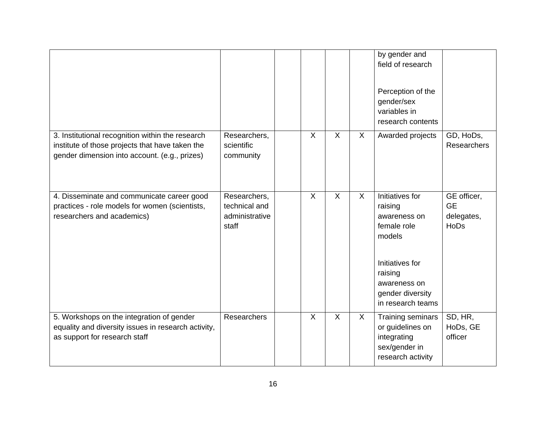|                                                                                                                                                      |                                                          |                         |                |         | by gender and<br>field of research<br>Perception of the<br>gender/sex<br>variables in<br>research contents                                                 |                                                       |
|------------------------------------------------------------------------------------------------------------------------------------------------------|----------------------------------------------------------|-------------------------|----------------|---------|------------------------------------------------------------------------------------------------------------------------------------------------------------|-------------------------------------------------------|
| 3. Institutional recognition within the research<br>institute of those projects that have taken the<br>gender dimension into account. (e.g., prizes) | Researchers,<br>scientific<br>community                  | X                       | X              | X       | Awarded projects                                                                                                                                           | GD, HoDs,<br>Researchers                              |
| 4. Disseminate and communicate career good<br>practices - role models for women (scientists,<br>researchers and academics)                           | Researchers,<br>technical and<br>administrative<br>staff | $\overline{\mathsf{x}}$ | $\overline{X}$ | $\sf X$ | Initiatives for<br>raising<br>awareness on<br>female role<br>models<br>Initiatives for<br>raising<br>awareness on<br>gender diversity<br>in research teams | GE officer,<br><b>GE</b><br>delegates,<br><b>HoDs</b> |
| 5. Workshops on the integration of gender<br>equality and diversity issues in research activity,<br>as support for research staff                    | Researchers                                              | $\mathsf{X}$            | $\overline{X}$ | X       | Training seminars<br>or guidelines on<br>integrating<br>sex/gender in<br>research activity                                                                 | SD, HR,<br>HoDs, GE<br>officer                        |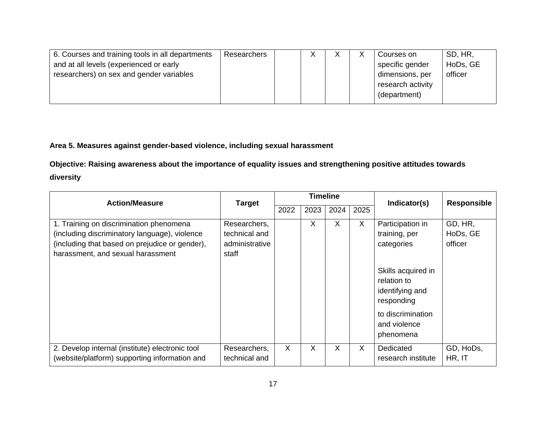| 6. Courses and training tools in all departments | Researchers |  | v<br>∧ | v<br>∧ | Courses on        | SD, HR,  |
|--------------------------------------------------|-------------|--|--------|--------|-------------------|----------|
| and at all levels (experienced or early          |             |  |        |        | specific gender   | HoDs, GE |
| researchers) on sex and gender variables         |             |  |        |        | dimensions, per   | officer  |
|                                                  |             |  |        |        | research activity |          |
|                                                  |             |  |        |        | (department)      |          |
|                                                  |             |  |        |        |                   |          |

## **Area 5. Measures against gender-based violence, including sexual harassment**

**Objective: Raising awareness about the importance of equality issues and strengthening positive attitudes towards diversity**

| <b>Action/Measure</b>                                                                                                                                                           | <b>Target</b>                                            | <b>Timeline</b> |      |      |      | Indicator(s)                                                                                                                                                            | <b>Responsible</b>             |
|---------------------------------------------------------------------------------------------------------------------------------------------------------------------------------|----------------------------------------------------------|-----------------|------|------|------|-------------------------------------------------------------------------------------------------------------------------------------------------------------------------|--------------------------------|
|                                                                                                                                                                                 |                                                          | 2022            | 2023 | 2024 | 2025 |                                                                                                                                                                         |                                |
| 1. Training on discrimination phenomena<br>(including discriminatory language), violence<br>(including that based on prejudice or gender),<br>harassment, and sexual harassment | Researchers,<br>technical and<br>administrative<br>staff |                 | X    | X    | X    | Participation in<br>training, per<br>categories<br>Skills acquired in<br>relation to<br>identifying and<br>responding<br>to discrimination<br>and violence<br>phenomena | GD, HR,<br>HoDs, GE<br>officer |
| 2. Develop internal (institute) electronic tool<br>(website/platform) supporting information and                                                                                | Researchers,<br>technical and                            | X               | X    | X    | X    | Dedicated<br>research institute                                                                                                                                         | GD, HoDs,<br>HR, IT            |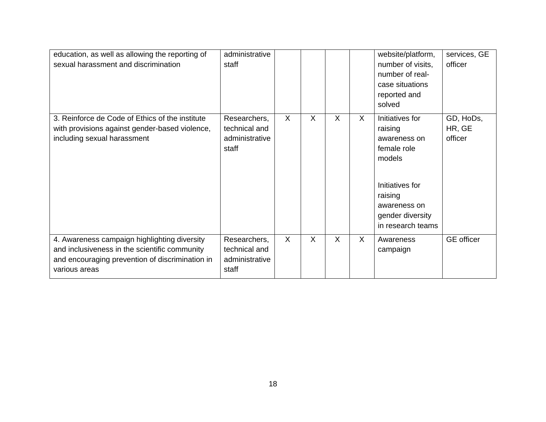| education, as well as allowing the reporting of<br>sexual harassment and discrimination                                                                           | administrative<br>staff                                  |   |         |   |         | website/platform,<br>number of visits,<br>number of real-<br>case situations<br>reported and<br>solved                                                     | services, GE<br>officer        |
|-------------------------------------------------------------------------------------------------------------------------------------------------------------------|----------------------------------------------------------|---|---------|---|---------|------------------------------------------------------------------------------------------------------------------------------------------------------------|--------------------------------|
| 3. Reinforce de Code of Ethics of the institute<br>with provisions against gender-based violence,<br>including sexual harassment                                  | Researchers,<br>technical and<br>administrative<br>staff | X | $\sf X$ | X | $\sf X$ | Initiatives for<br>raising<br>awareness on<br>female role<br>models<br>Initiatives for<br>raising<br>awareness on<br>gender diversity<br>in research teams | GD, HoDs,<br>HR, GE<br>officer |
| 4. Awareness campaign highlighting diversity<br>and inclusiveness in the scientific community<br>and encouraging prevention of discrimination in<br>various areas | Researchers,<br>technical and<br>administrative<br>staff | X | X       | X | X       | Awareness<br>campaign                                                                                                                                      | <b>GE</b> officer              |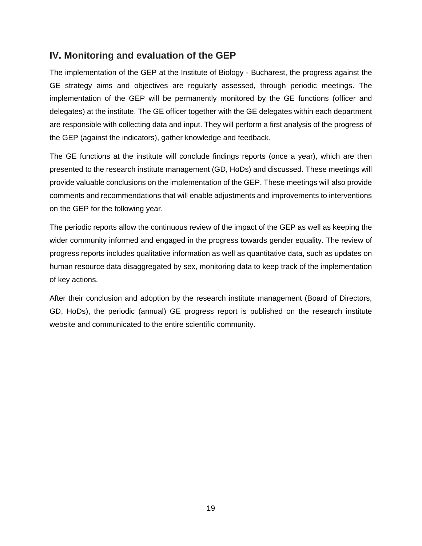# <span id="page-18-0"></span>**IV. Monitoring and evaluation of the GEP**

The implementation of the GEP at the Institute of Biology - Bucharest, the progress against the GE strategy aims and objectives are regularly assessed, through periodic meetings. The implementation of the GEP will be permanently monitored by the GE functions (officer and delegates) at the institute. The GE officer together with the GE delegates within each department are responsible with collecting data and input. They will perform a first analysis of the progress of the GEP (against the indicators), gather knowledge and feedback.

The GE functions at the institute will conclude findings reports (once a year), which are then presented to the research institute management (GD, HoDs) and discussed. These meetings will provide valuable conclusions on the implementation of the GEP. These meetings will also provide comments and recommendations that will enable adjustments and improvements to interventions on the GEP for the following year.

The periodic reports allow the continuous review of the impact of the GEP as well as keeping the wider community informed and engaged in the progress towards gender equality. The review of progress reports includes qualitative information as well as quantitative data, such as updates on human resource data disaggregated by sex, monitoring data to keep track of the implementation of key actions.

After their conclusion and adoption by the research institute management (Board of Directors, GD, HoDs), the periodic (annual) GE progress report is published on the research institute website and communicated to the entire scientific community.